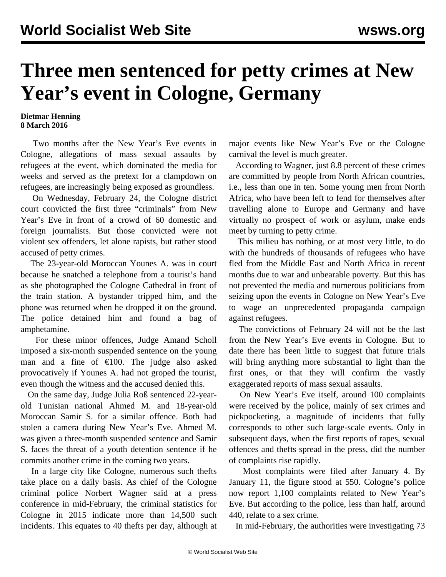## **Three men sentenced for petty crimes at New Year's event in Cologne, Germany**

## **Dietmar Henning 8 March 2016**

 Two months after the New Year's Eve events in Cologne, allegations of mass sexual assaults by refugees at the event, which dominated the media for weeks and served as the pretext for a clampdown on refugees, are increasingly being exposed as groundless.

 On Wednesday, February 24, the Cologne district court convicted the first three "criminals" from New Year's Eve in front of a crowd of 60 domestic and foreign journalists. But those convicted were not violent sex offenders, let alone rapists, but rather stood accused of petty crimes.

 The 23-year-old Moroccan Younes A. was in court because he snatched a telephone from a tourist's hand as she photographed the Cologne Cathedral in front of the train station. A bystander tripped him, and the phone was returned when he dropped it on the ground. The police detained him and found a bag of amphetamine.

 For these minor offences, Judge Amand Scholl imposed a six-month suspended sentence on the young man and a fine of  $\epsilon$ 100. The judge also asked provocatively if Younes A. had not groped the tourist, even though the witness and the accused denied this.

 On the same day, Judge Julia Roß sentenced 22-yearold Tunisian national Ahmed M. and 18-year-old Moroccan Samir S. for a similar offence. Both had stolen a camera during New Year's Eve. Ahmed M. was given a three-month suspended sentence and Samir S. faces the threat of a youth detention sentence if he commits another crime in the coming two years.

 In a large city like Cologne, numerous such thefts take place on a daily basis. As chief of the Cologne criminal police Norbert Wagner said at a press conference in mid-February, the criminal statistics for Cologne in 2015 indicate more than 14,500 such incidents. This equates to 40 thefts per day, although at major events like New Year's Eve or the Cologne carnival the level is much greater.

 According to Wagner, just 8.8 percent of these crimes are committed by people from North African countries, i.e., less than one in ten. Some young men from North Africa, who have been left to fend for themselves after travelling alone to Europe and Germany and have virtually no prospect of work or asylum, make ends meet by turning to petty crime.

 This milieu has nothing, or at most very little, to do with the hundreds of thousands of refugees who have fled from the Middle East and North Africa in recent months due to war and unbearable poverty. But this has not prevented the media and numerous politicians from seizing upon the events in Cologne on New Year's Eve to wage an unprecedented propaganda campaign against refugees.

 The convictions of February 24 will not be the last from the New Year's Eve events in Cologne. But to date there has been little to suggest that future trials will bring anything more substantial to light than the first ones, or that they will confirm the vastly exaggerated reports of mass sexual assaults.

 On New Year's Eve itself, around 100 complaints were received by the police, mainly of sex crimes and pickpocketing, a magnitude of incidents that fully corresponds to other such large-scale events. Only in subsequent days, when the first reports of rapes, sexual offences and thefts spread in the press, did the number of complaints rise rapidly.

 Most complaints were filed after January 4. By January 11, the figure stood at 550. Cologne's police now report 1,100 complaints related to New Year's Eve. But according to the police, less than half, around 440, relate to a sex crime.

In mid-February, the authorities were investigating 73